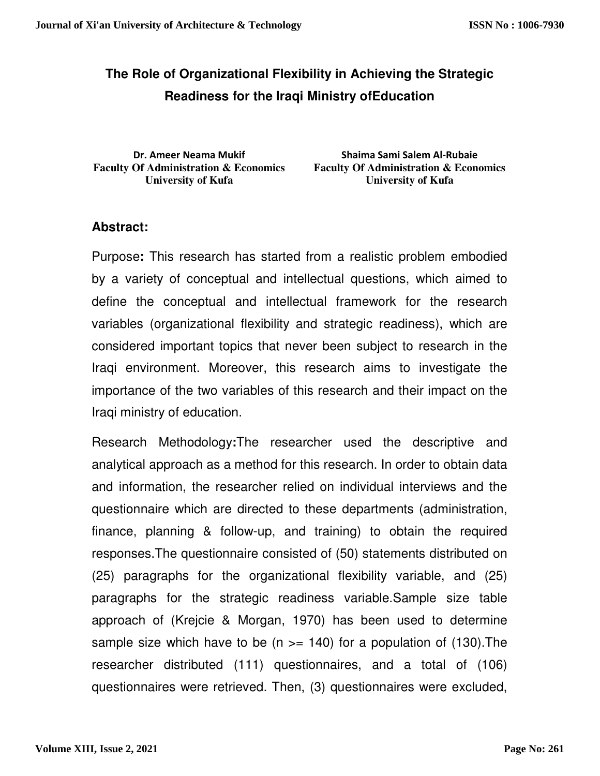# **The Role of Organizational Flexibility in Achieving the Strategic Readiness for the Iraqi Ministry ofEducation**

**Dr. Ameer Neama Mukif Faculty Of Administration & Economics University of Kufa** 

**Shaima Sami Salem Al-Rubaie Faculty Of Administration & Economics University of Kufa** 

## **Abstract:**

Purpose**:** This research has started from a realistic problem embodied by a variety of conceptual and intellectual questions, which aimed to define the conceptual and intellectual framework for the research variables (organizational flexibility and strategic readiness), which are considered important topics that never been subject to research in the Iraqi environment. Moreover, this research aims to investigate the importance of the two variables of this research and their impact on the Iraqi ministry of education.

Research Methodology**:**The researcher used the descriptive and analytical approach as a method for this research. In order to obtain data and information, the researcher relied on individual interviews and the questionnaire which are directed to these departments (administration, finance, planning & follow-up, and training) to obtain the required responses.The questionnaire consisted of (50) statements distributed on (25) paragraphs for the organizational flexibility variable, and (25) paragraphs for the strategic readiness variable.Sample size table approach of (Krejcie & Morgan, 1970) has been used to determine sample size which have to be  $(n \ge 140)$  for a population of (130). The researcher distributed (111) questionnaires, and a total of (106) questionnaires were retrieved. Then, (3) questionnaires were excluded,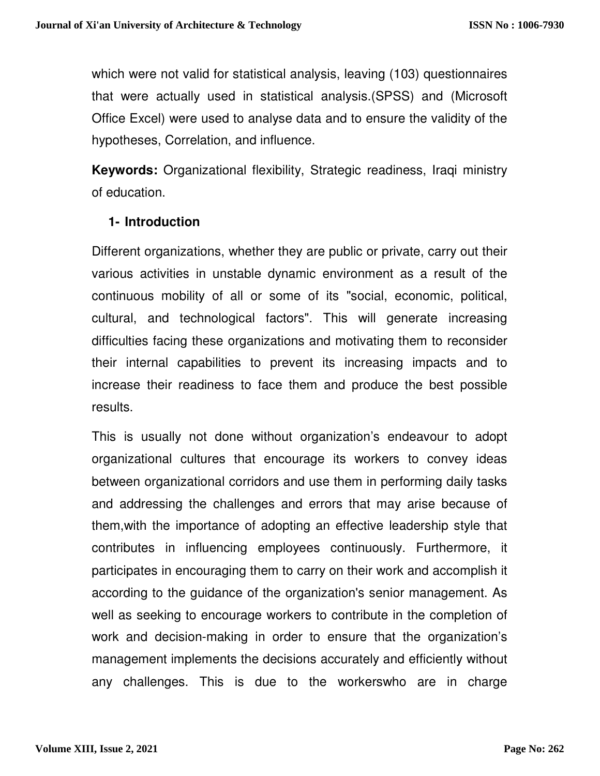which were not valid for statistical analysis, leaving (103) questionnaires that were actually used in statistical analysis.(SPSS) and (Microsoft Office Excel) were used to analyse data and to ensure the validity of the hypotheses, Correlation, and influence.

**Keywords:** Organizational flexibility, Strategic readiness, Iraqi ministry of education.

## **1- Introduction**

Different organizations, whether they are public or private, carry out their various activities in unstable dynamic environment as a result of the continuous mobility of all or some of its "social, economic, political, cultural, and technological factors". This will generate increasing difficulties facing these organizations and motivating them to reconsider their internal capabilities to prevent its increasing impacts and to increase their readiness to face them and produce the best possible results.

This is usually not done without organization's endeavour to adopt organizational cultures that encourage its workers to convey ideas between organizational corridors and use them in performing daily tasks and addressing the challenges and errors that may arise because of them,with the importance of adopting an effective leadership style that contributes in influencing employees continuously. Furthermore, it participates in encouraging them to carry on their work and accomplish it according to the guidance of the organization's senior management. As well as seeking to encourage workers to contribute in the completion of work and decision-making in order to ensure that the organization's management implements the decisions accurately and efficiently without any challenges. This is due to the workerswho are in charge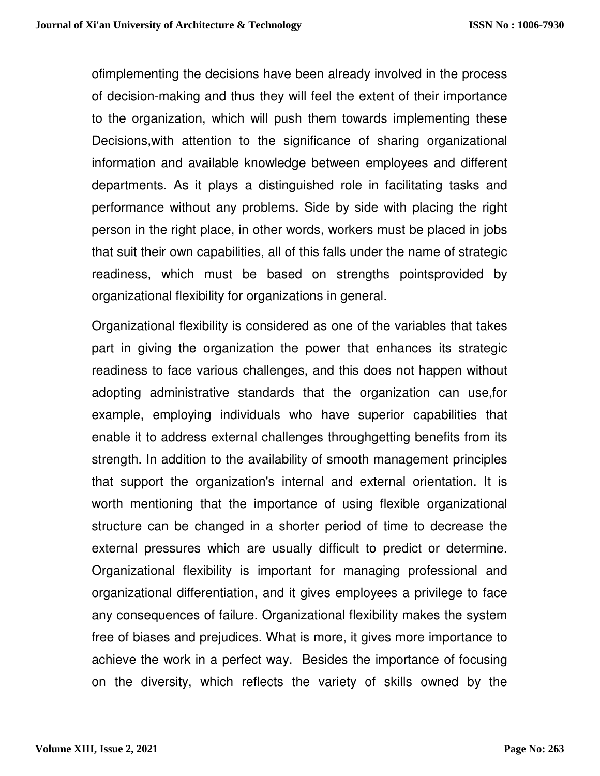ofimplementing the decisions have been already involved in the process of decision-making and thus they will feel the extent of their importance to the organization, which will push them towards implementing these Decisions,with attention to the significance of sharing organizational information and available knowledge between employees and different departments. As it plays a distinguished role in facilitating tasks and performance without any problems. Side by side with placing the right person in the right place, in other words, workers must be placed in jobs that suit their own capabilities, all of this falls under the name of strategic readiness, which must be based on strengths pointsprovided by organizational flexibility for organizations in general.

Organizational flexibility is considered as one of the variables that takes part in giving the organization the power that enhances its strategic readiness to face various challenges, and this does not happen without adopting administrative standards that the organization can use,for example, employing individuals who have superior capabilities that enable it to address external challenges throughgetting benefits from its strength. In addition to the availability of smooth management principles that support the organization's internal and external orientation. It is worth mentioning that the importance of using flexible organizational structure can be changed in a shorter period of time to decrease the external pressures which are usually difficult to predict or determine. Organizational flexibility is important for managing professional and organizational differentiation, and it gives employees a privilege to face any consequences of failure. Organizational flexibility makes the system free of biases and prejudices. What is more, it gives more importance to achieve the work in a perfect way. Besides the importance of focusing on the diversity, which reflects the variety of skills owned by the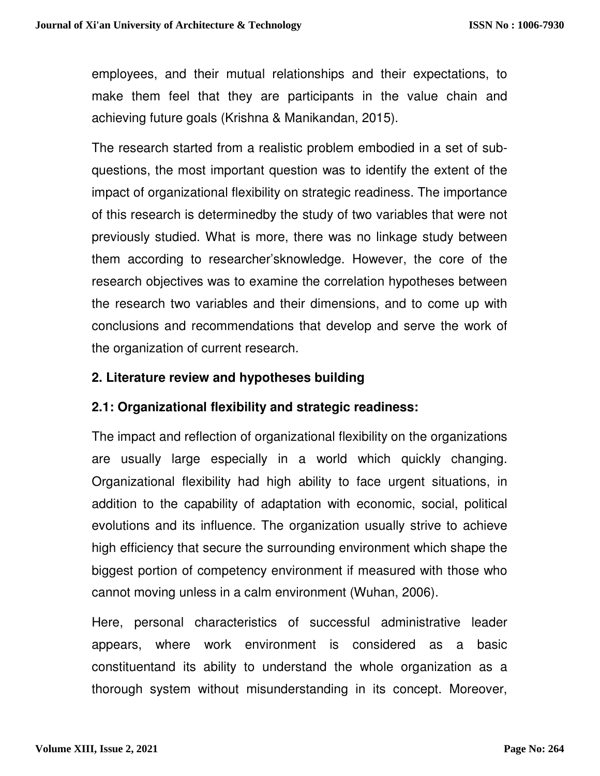employees, and their mutual relationships and their expectations, to make them feel that they are participants in the value chain and achieving future goals (Krishna & Manikandan, 2015).

The research started from a realistic problem embodied in a set of subquestions, the most important question was to identify the extent of the impact of organizational flexibility on strategic readiness. The importance of this research is determinedby the study of two variables that were not previously studied. What is more, there was no linkage study between them according to researcher'sknowledge. However, the core of the research objectives was to examine the correlation hypotheses between the research two variables and their dimensions, and to come up with conclusions and recommendations that develop and serve the work of the organization of current research.

#### **2. Literature review and hypotheses building**

## **2.1: Organizational flexibility and strategic readiness:**

The impact and reflection of organizational flexibility on the organizations are usually large especially in a world which quickly changing. Organizational flexibility had high ability to face urgent situations, in addition to the capability of adaptation with economic, social, political evolutions and its influence. The organization usually strive to achieve high efficiency that secure the surrounding environment which shape the biggest portion of competency environment if measured with those who cannot moving unless in a calm environment (Wuhan, 2006).

Here, personal characteristics of successful administrative leader appears, where work environment is considered as a basic constituentand its ability to understand the whole organization as a thorough system without misunderstanding in its concept. Moreover,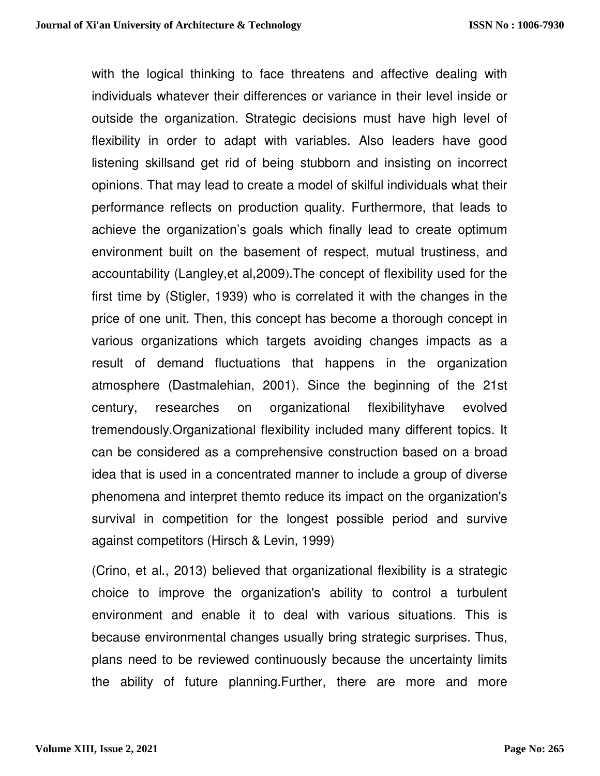with the logical thinking to face threatens and affective dealing with individuals whatever their differences or variance in their level inside or outside the organization. Strategic decisions must have high level of flexibility in order to adapt with variables. Also leaders have good listening skillsand get rid of being stubborn and insisting on incorrect opinions. That may lead to create a model of skilful individuals what their performance reflects on production quality. Furthermore, that leads to achieve the organization's goals which finally lead to create optimum environment built on the basement of respect, mutual trustiness, and accountability (Langley,et al,2009).The concept of flexibility used for the first time by (Stigler, 1939) who is correlated it with the changes in the price of one unit. Then, this concept has become a thorough concept in various organizations which targets avoiding changes impacts as a result of demand fluctuations that happens in the organization atmosphere (Dastmalehian, 2001). Since the beginning of the 21st century, researches on organizational flexibilityhave evolved tremendously.Organizational flexibility included many different topics. It can be considered as a comprehensive construction based on a broad idea that is used in a concentrated manner to include a group of diverse phenomena and interpret themto reduce its impact on the organization's survival in competition for the longest possible period and survive against competitors (Hirsch & Levin, 1999)

(Crino, et al., 2013) believed that organizational flexibility is a strategic choice to improve the organization's ability to control a turbulent environment and enable it to deal with various situations. This is because environmental changes usually bring strategic surprises. Thus, plans need to be reviewed continuously because the uncertainty limits the ability of future planning.Further, there are more and more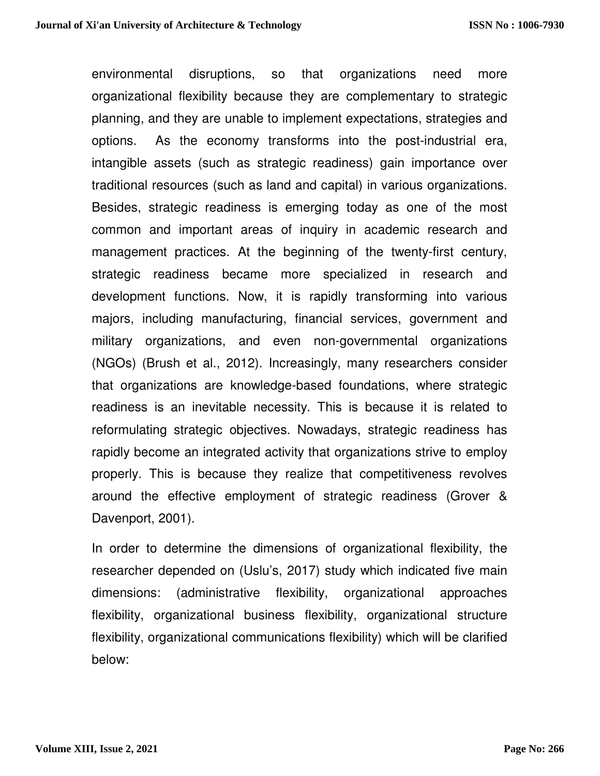environmental disruptions, so that organizations need more organizational flexibility because they are complementary to strategic planning, and they are unable to implement expectations, strategies and options. As the economy transforms into the post-industrial era, intangible assets (such as strategic readiness) gain importance over traditional resources (such as land and capital) in various organizations. Besides, strategic readiness is emerging today as one of the most common and important areas of inquiry in academic research and management practices. At the beginning of the twenty-first century, strategic readiness became more specialized in research and development functions. Now, it is rapidly transforming into various majors, including manufacturing, financial services, government and military organizations, and even non-governmental organizations (NGOs) (Brush et al., 2012). Increasingly, many researchers consider that organizations are knowledge-based foundations, where strategic readiness is an inevitable necessity. This is because it is related to reformulating strategic objectives. Nowadays, strategic readiness has rapidly become an integrated activity that organizations strive to employ properly. This is because they realize that competitiveness revolves around the effective employment of strategic readiness (Grover & Davenport, 2001).

In order to determine the dimensions of organizational flexibility, the researcher depended on (Uslu's, 2017) study which indicated five main dimensions: (administrative flexibility, organizational approaches flexibility, organizational business flexibility, organizational structure flexibility, organizational communications flexibility) which will be clarified below: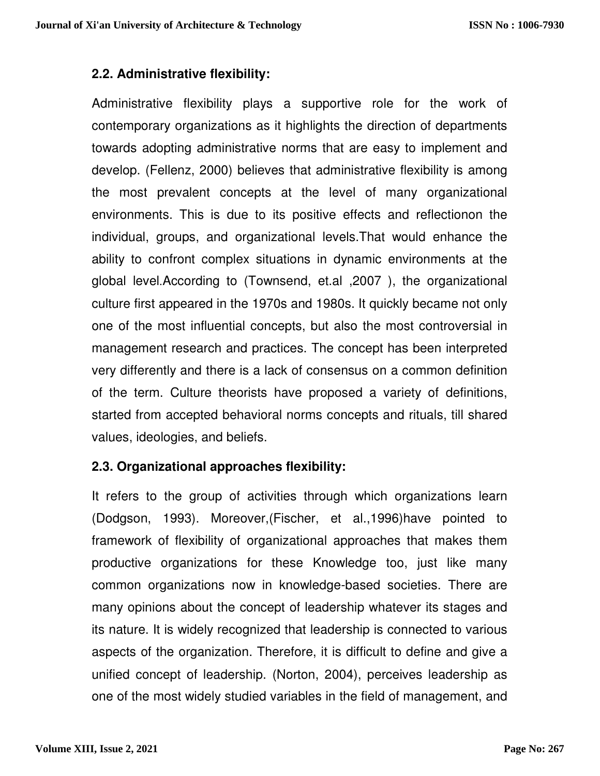## **2.2. Administrative flexibility:**

Administrative flexibility plays a supportive role for the work of contemporary organizations as it highlights the direction of departments towards adopting administrative norms that are easy to implement and develop. (Fellenz, 2000) believes that administrative flexibility is among the most prevalent concepts at the level of many organizational environments. This is due to its positive effects and reflectionon the individual, groups, and organizational levels.That would enhance the ability to confront complex situations in dynamic environments at the global level.According to (Townsend, et.al ,2007 ), the organizational culture first appeared in the 1970s and 1980s. It quickly became not only one of the most influential concepts, but also the most controversial in management research and practices. The concept has been interpreted very differently and there is a lack of consensus on a common definition of the term. Culture theorists have proposed a variety of definitions, started from accepted behavioral norms concepts and rituals, till shared values, ideologies, and beliefs.

## **2.3. Organizational approaches flexibility:**

It refers to the group of activities through which organizations learn (Dodgson, 1993). Moreover,(Fischer, et al.,1996)have pointed to framework of flexibility of organizational approaches that makes them productive organizations for these Knowledge too, just like many common organizations now in knowledge-based societies. There are many opinions about the concept of leadership whatever its stages and its nature. It is widely recognized that leadership is connected to various aspects of the organization. Therefore, it is difficult to define and give a unified concept of leadership. (Norton, 2004), perceives leadership as one of the most widely studied variables in the field of management, and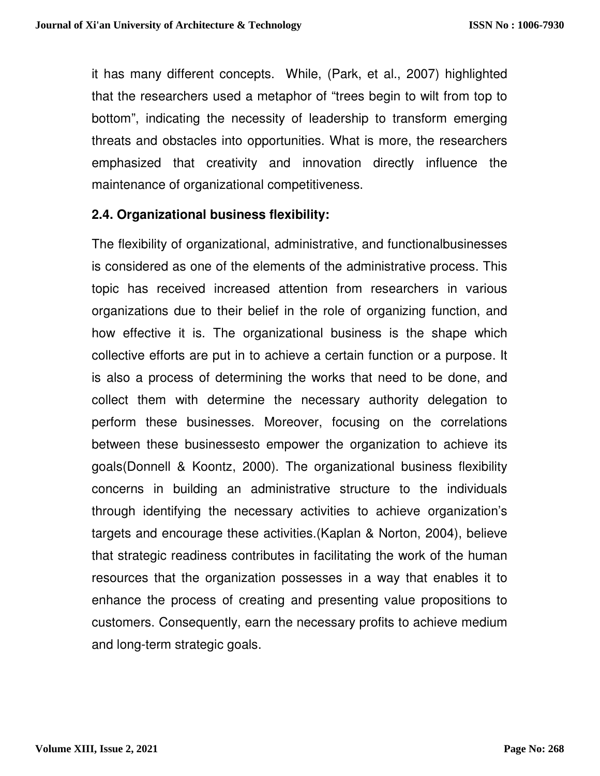it has many different concepts. While, (Park, et al., 2007) highlighted that the researchers used a metaphor of "trees begin to wilt from top to bottom", indicating the necessity of leadership to transform emerging threats and obstacles into opportunities. What is more, the researchers emphasized that creativity and innovation directly influence the maintenance of organizational competitiveness.

#### **2.4. Organizational business flexibility:**

The flexibility of organizational, administrative, and functionalbusinesses is considered as one of the elements of the administrative process. This topic has received increased attention from researchers in various organizations due to their belief in the role of organizing function, and how effective it is. The organizational business is the shape which collective efforts are put in to achieve a certain function or a purpose. It is also a process of determining the works that need to be done, and collect them with determine the necessary authority delegation to perform these businesses. Moreover, focusing on the correlations between these businessesto empower the organization to achieve its goals(Donnell & Koontz, 2000). The organizational business flexibility concerns in building an administrative structure to the individuals through identifying the necessary activities to achieve organization's targets and encourage these activities.(Kaplan & Norton, 2004), believe that strategic readiness contributes in facilitating the work of the human resources that the organization possesses in a way that enables it to enhance the process of creating and presenting value propositions to customers. Consequently, earn the necessary profits to achieve medium and long-term strategic goals.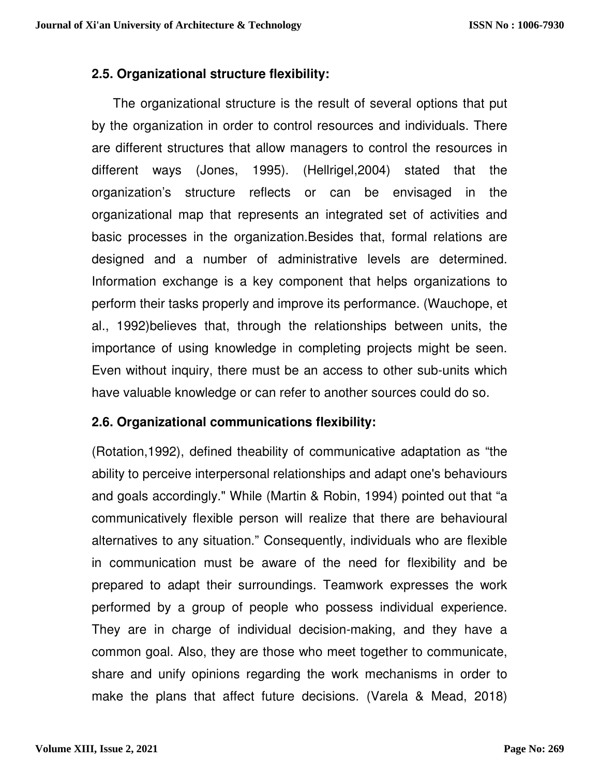## **2.5. Organizational structure flexibility:**

 The organizational structure is the result of several options that put by the organization in order to control resources and individuals. There are different structures that allow managers to control the resources in different ways (Jones, 1995). (Hellrigel,2004) stated that the organization's structure reflects or can be envisaged in the organizational map that represents an integrated set of activities and basic processes in the organization.Besides that, formal relations are designed and a number of administrative levels are determined. Information exchange is a key component that helps organizations to perform their tasks properly and improve its performance. (Wauchope, et al., 1992)believes that, through the relationships between units, the importance of using knowledge in completing projects might be seen. Even without inquiry, there must be an access to other sub-units which have valuable knowledge or can refer to another sources could do so.

#### **2.6. Organizational communications flexibility:**

(Rotation,1992), defined theability of communicative adaptation as "the ability to perceive interpersonal relationships and adapt one's behaviours and goals accordingly." While (Martin & Robin, 1994) pointed out that "a communicatively flexible person will realize that there are behavioural alternatives to any situation." Consequently, individuals who are flexible in communication must be aware of the need for flexibility and be prepared to adapt their surroundings. Teamwork expresses the work performed by a group of people who possess individual experience. They are in charge of individual decision-making, and they have a common goal. Also, they are those who meet together to communicate, share and unify opinions regarding the work mechanisms in order to make the plans that affect future decisions. (Varela & Mead, 2018)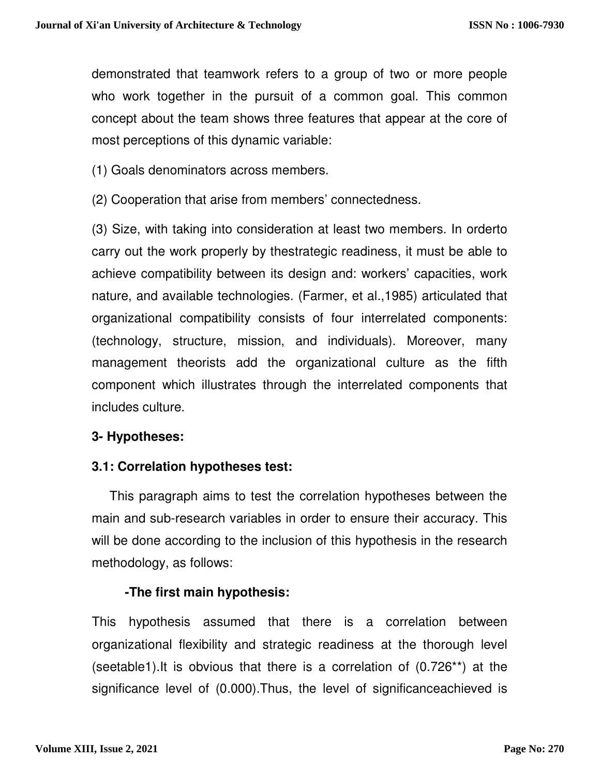demonstrated that teamwork refers to a group of two or more people who work together in the pursuit of a common goal. This common concept about the team shows three features that appear at the core of most perceptions of this dynamic variable:

(1) Goals denominators across members.

(2) Cooperation that arise from members' connectedness.

(3) Size, with taking into consideration at least two members. In orderto carry out the work properly by thestrategic readiness, it must be able to achieve compatibility between its design and: workers' capacities, work nature, and available technologies. (Farmer, et al.,1985) articulated that organizational compatibility consists of four interrelated components: (technology, structure, mission, and individuals). Moreover, many management theorists add the organizational culture as the fifth component which illustrates through the interrelated components that includes culture.

## **3- Hypotheses:**

## **3.1: Correlation hypotheses test:**

 This paragraph aims to test the correlation hypotheses between the main and sub-research variables in order to ensure their accuracy. This will be done according to the inclusion of this hypothesis in the research methodology, as follows:

# **-The first main hypothesis:**

This hypothesis assumed that there is a correlation between organizational flexibility and strategic readiness at the thorough level (seetable1).It is obvious that there is a correlation of (0.726\*\*) at the significance level of (0.000).Thus, the level of significanceachieved is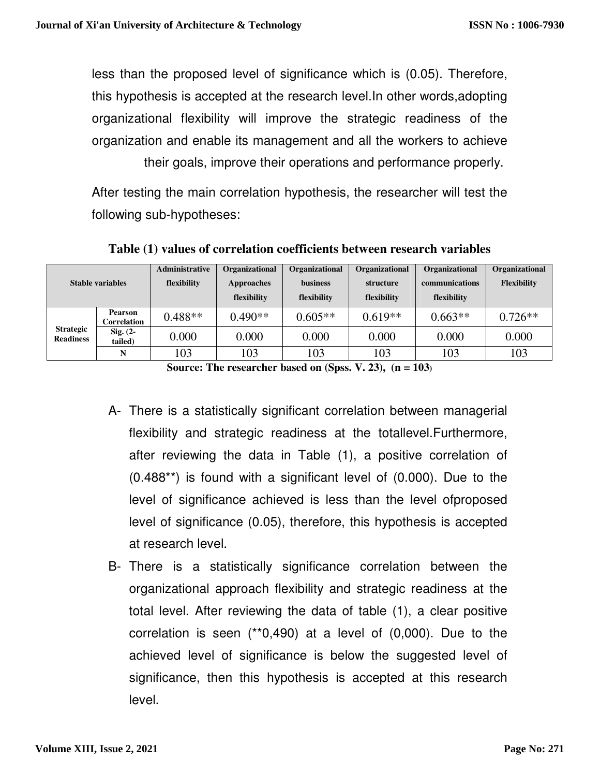less than the proposed level of significance which is (0.05). Therefore, this hypothesis is accepted at the research level.In other words,adopting organizational flexibility will improve the strategic readiness of the organization and enable its management and all the workers to achieve their goals, improve their operations and performance properly.

After testing the main correlation hypothesis, the researcher will test the following sub-hypotheses:

| <b>Stable variables</b>              |                               | Administrative | Organizational | Organizational  | Organizational | Organizational | Organizational     |
|--------------------------------------|-------------------------------|----------------|----------------|-----------------|----------------|----------------|--------------------|
|                                      |                               | flexibility    | Approaches     | <b>business</b> | structure      | communications | <b>Flexibility</b> |
|                                      |                               |                | flexibility    | flexibility     | flexibility    | flexibility    |                    |
| <b>Strategic</b><br><b>Readiness</b> | <b>Pearson</b><br>Correlation | $0.488**$      | $0.490**$      | $0.605**$       | $0.619**$      | $0.663**$      | $0.726**$          |
|                                      | $Sig. (2 -$<br>tailed)        | 0.000          | 0.000          | 0.000           | 0.000          | 0.000          | 0.000              |
|                                      | N                             | 103            | 103            | 103             | 103            | 103            | 103                |

**Table (1) values of correlation coefficients between research variables**

**Source: The researcher based on (Spss. V. 23), (n = 103)**

- A- There is a statistically significant correlation between managerial flexibility and strategic readiness at the totallevel.Furthermore, after reviewing the data in Table (1), a positive correlation of (0.488\*\*) is found with a significant level of (0.000). Due to the level of significance achieved is less than the level ofproposed level of significance (0.05), therefore, this hypothesis is accepted at research level.
- B- There is a statistically significance correlation between the organizational approach flexibility and strategic readiness at the total level. After reviewing the data of table (1), a clear positive correlation is seen (\*\*0,490) at a level of (0,000). Due to the achieved level of significance is below the suggested level of significance, then this hypothesis is accepted at this research level.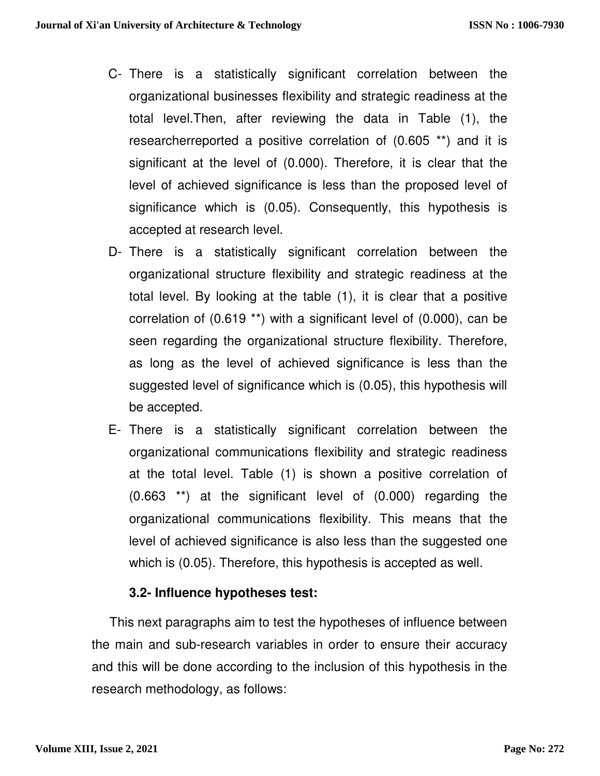- C- There is a statistically significant correlation between the organizational businesses flexibility and strategic readiness at the total level.Then, after reviewing the data in Table (1), the researcherreported a positive correlation of (0.605 \*\*) and it is significant at the level of (0.000). Therefore, it is clear that the level of achieved significance is less than the proposed level of significance which is (0.05). Consequently, this hypothesis is accepted at research level.
- D- There is a statistically significant correlation between the organizational structure flexibility and strategic readiness at the total level. By looking at the table (1), it is clear that a positive correlation of (0.619 \*\*) with a significant level of (0.000), can be seen regarding the organizational structure flexibility. Therefore, as long as the level of achieved significance is less than the suggested level of significance which is (0.05), this hypothesis will be accepted.
- E- There is a statistically significant correlation between the organizational communications flexibility and strategic readiness at the total level. Table (1) is shown a positive correlation of (0.663 \*\*) at the significant level of (0.000) regarding the organizational communications flexibility. This means that the level of achieved significance is also less than the suggested one which is (0.05). Therefore, this hypothesis is accepted as well.

#### **3.2- Influence hypotheses test:**

 This next paragraphs aim to test the hypotheses of influence between the main and sub-research variables in order to ensure their accuracy and this will be done according to the inclusion of this hypothesis in the research methodology, as follows: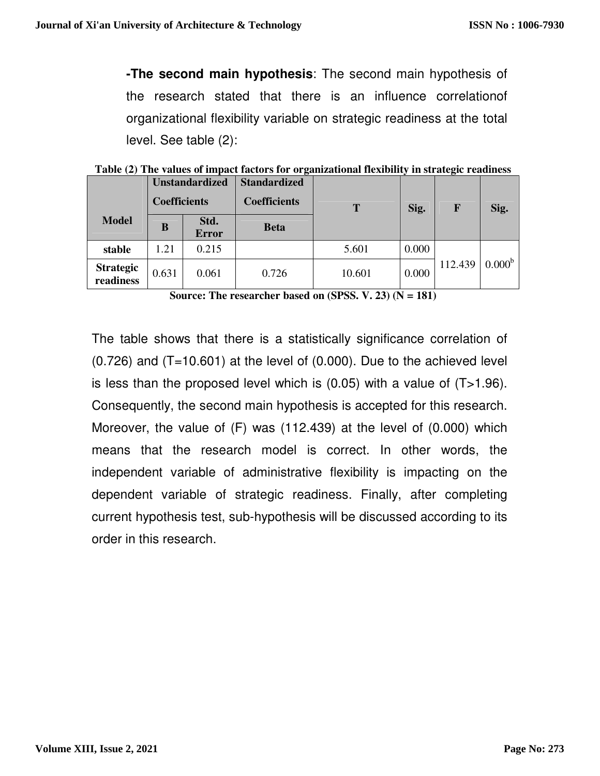**-The second main hypothesis**: The second main hypothesis of the research stated that there is an influence correlationof organizational flexibility variable on strategic readiness at the total level. See table (2):

|                               | <b>Unstandardized</b><br><b>Coefficients</b> |                      | o<br><b>Standardized</b><br><b>Coefficients</b> | T      | $\overline{ }$<br>Sig. | o<br>F  | Sig.               |
|-------------------------------|----------------------------------------------|----------------------|-------------------------------------------------|--------|------------------------|---------|--------------------|
| <b>Model</b>                  | B                                            | Std.<br><b>Error</b> | <b>Beta</b>                                     |        |                        |         |                    |
| stable                        | 1.21                                         | 0.215                |                                                 | 5.601  | 0.000                  |         |                    |
| <b>Strategic</b><br>readiness | 0.631                                        | 0.061                | 0.726                                           | 10.601 | 0.000                  | 112.439 | 0.000 <sup>b</sup> |

**Table (2) The values of impact factors for organizational flexibility in strategic readiness** 

**Source: The researcher based on (SPSS. V. 23) (N = 181)**

The table shows that there is a statistically significance correlation of  $(0.726)$  and  $(T=10.601)$  at the level of  $(0.000)$ . Due to the achieved level is less than the proposed level which is  $(0.05)$  with a value of  $(T>1.96)$ . Consequently, the second main hypothesis is accepted for this research. Moreover, the value of (F) was (112.439) at the level of (0.000) which means that the research model is correct. In other words, the independent variable of administrative flexibility is impacting on the dependent variable of strategic readiness. Finally, after completing current hypothesis test, sub-hypothesis will be discussed according to its order in this research.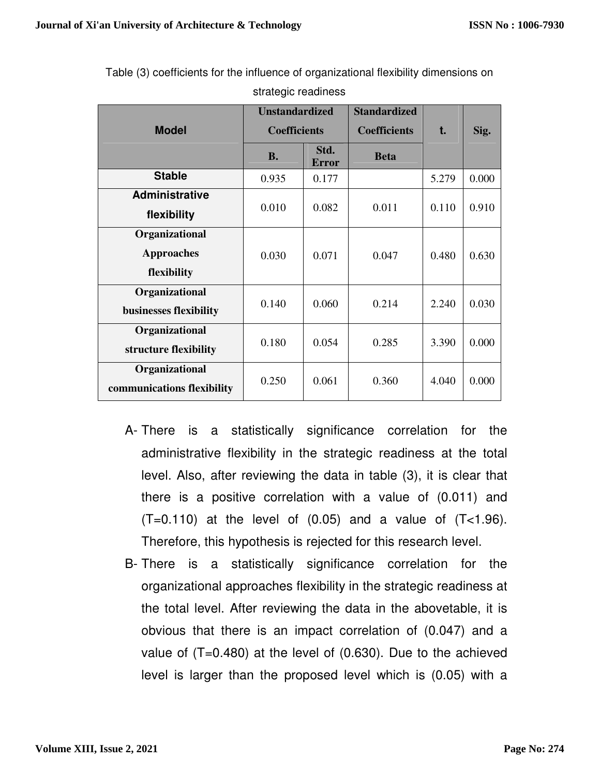|                            | <b>Unstandardized</b><br><b>Coefficients</b> |                      | <b>Standardized</b> |       |       |
|----------------------------|----------------------------------------------|----------------------|---------------------|-------|-------|
| <b>Model</b>               |                                              |                      | <b>Coefficients</b> | t.    | Sig.  |
|                            | <b>B.</b>                                    | Std.<br><b>Error</b> | <b>Beta</b>         |       |       |
| <b>Stable</b>              | 0.935                                        | 0.177                |                     | 5.279 | 0.000 |
| <b>Administrative</b>      | 0.010                                        | 0.082                | 0.011               |       |       |
| flexibility                |                                              |                      |                     | 0.110 | 0.910 |
| Organizational             |                                              |                      |                     |       |       |
| <b>Approaches</b>          | 0.030                                        | 0.071                | 0.047               | 0.480 | 0.630 |
| flexibility                |                                              |                      |                     |       |       |
| Organizational             |                                              |                      |                     |       |       |
| businesses flexibility     | 0.140                                        | 0.060                | 0.214               | 2.240 | 0.030 |
| Organizational             |                                              |                      |                     |       |       |
| structure flexibility      | 0.180                                        | 0.054                | 0.285               | 3.390 | 0.000 |
| Organizational             |                                              |                      |                     |       |       |
| communications flexibility | 0.250                                        | 0.061                | 0.360               | 4.040 | 0.000 |

Table (3) coefficients for the influence of organizational flexibility dimensions on strategic readiness

- A- There is a statistically significance correlation for the administrative flexibility in the strategic readiness at the total level. Also, after reviewing the data in table (3), it is clear that there is a positive correlation with a value of (0.011) and  $(T=0.110)$  at the level of  $(0.05)$  and a value of  $(T<1.96)$ . Therefore, this hypothesis is rejected for this research level.
- B- There is a statistically significance correlation for the organizational approaches flexibility in the strategic readiness at the total level. After reviewing the data in the abovetable, it is obvious that there is an impact correlation of (0.047) and a value of  $(T=0.480)$  at the level of  $(0.630)$ . Due to the achieved level is larger than the proposed level which is (0.05) with a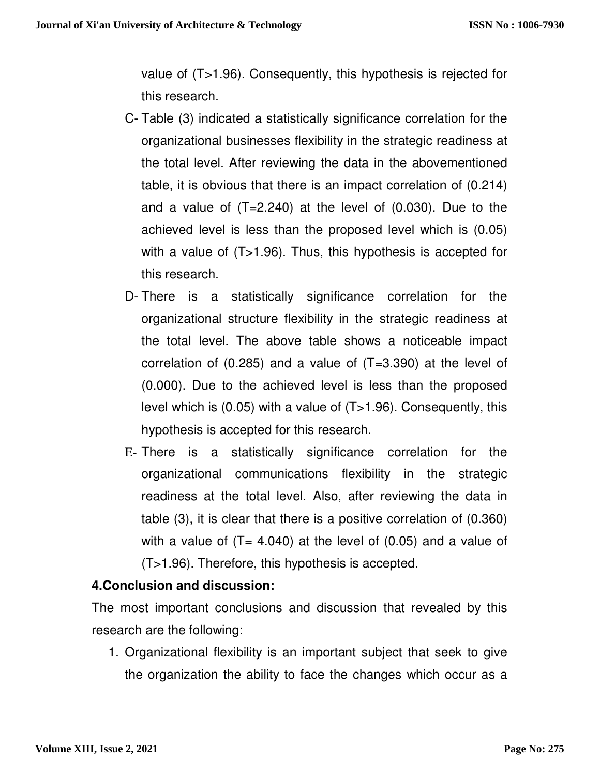value of (T>1.96). Consequently, this hypothesis is rejected for this research.

- C- Table (3) indicated a statistically significance correlation for the organizational businesses flexibility in the strategic readiness at the total level. After reviewing the data in the abovementioned table, it is obvious that there is an impact correlation of (0.214) and a value of (T=2.240) at the level of (0.030). Due to the achieved level is less than the proposed level which is (0.05) with a value of (T>1.96). Thus, this hypothesis is accepted for this research.
- D- There is a statistically significance correlation for the organizational structure flexibility in the strategic readiness at the total level. The above table shows a noticeable impact correlation of (0.285) and a value of (T=3.390) at the level of (0.000). Due to the achieved level is less than the proposed level which is (0.05) with a value of (T>1.96). Consequently, this hypothesis is accepted for this research.
- E- There is a statistically significance correlation for the organizational communications flexibility in the strategic readiness at the total level. Also, after reviewing the data in table (3), it is clear that there is a positive correlation of (0.360) with a value of  $(T= 4.040)$  at the level of  $(0.05)$  and a value of (T>1.96). Therefore, this hypothesis is accepted.

#### **4.Conclusion and discussion:**

The most important conclusions and discussion that revealed by this research are the following:

1. Organizational flexibility is an important subject that seek to give the organization the ability to face the changes which occur as a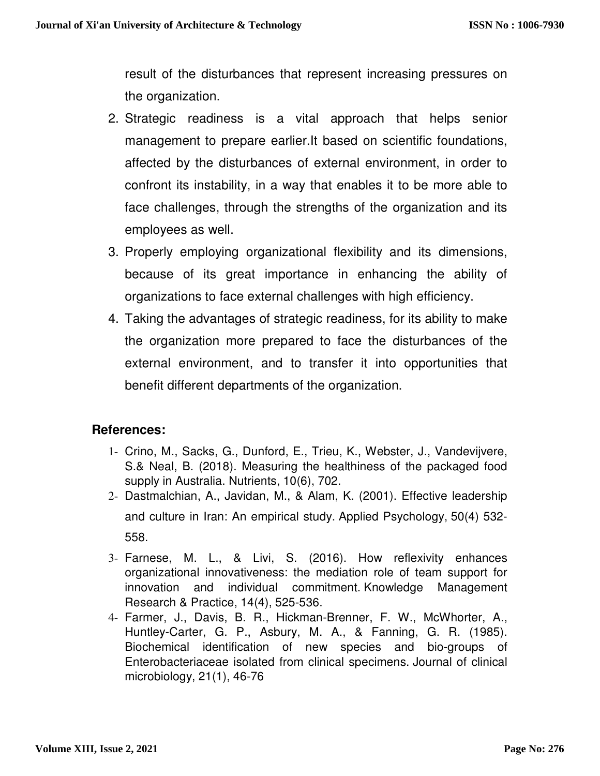result of the disturbances that represent increasing pressures on the organization.

- 2. Strategic readiness is a vital approach that helps senior management to prepare earlier.It based on scientific foundations, affected by the disturbances of external environment, in order to confront its instability, in a way that enables it to be more able to face challenges, through the strengths of the organization and its employees as well.
- 3. Properly employing organizational flexibility and its dimensions, because of its great importance in enhancing the ability of organizations to face external challenges with high efficiency.
- 4. Taking the advantages of strategic readiness, for its ability to make the organization more prepared to face the disturbances of the external environment, and to transfer it into opportunities that benefit different departments of the organization.

#### **References:**

- 1- Crino, M., Sacks, G., Dunford, E., Trieu, K., Webster, J., Vandevijvere, S.& Neal, B. (2018). Measuring the healthiness of the packaged food supply in Australia. Nutrients, 10(6), 702.
- 2- Dastmalchian, A., Javidan, M., & Alam, K. (2001). Effective leadership and culture in Iran: An empirical study. Applied Psychology, 50(4) 532- 558.
- 3- Farnese, M. L., & Livi, S. (2016). How reflexivity enhances organizational innovativeness: the mediation role of team support for innovation and individual commitment. Knowledge Management Research & Practice, 14(4), 525-536.
- 4- Farmer, J., Davis, B. R., Hickman-Brenner, F. W., McWhorter, A., Huntley-Carter, G. P., Asbury, M. A., & Fanning, G. R. (1985). Biochemical identification of new species and bio-groups of Enterobacteriaceae isolated from clinical specimens. Journal of clinical microbiology, 21(1), 46-76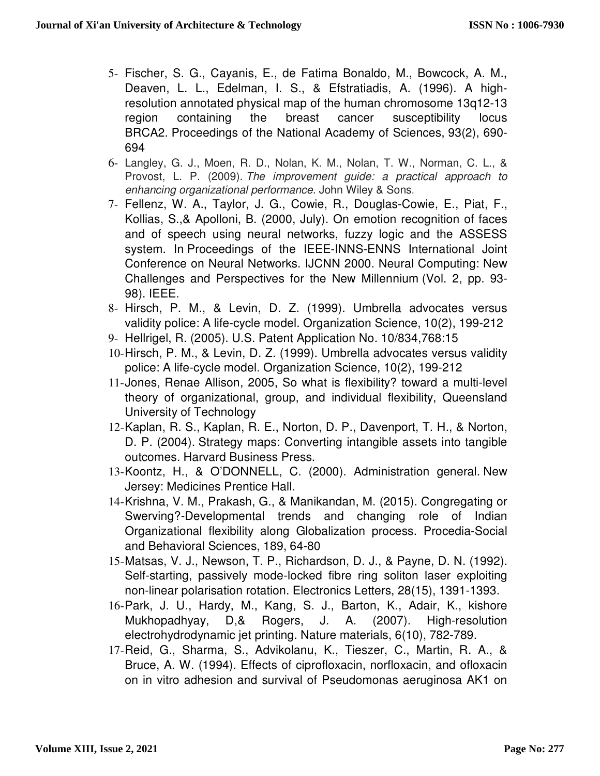- 5- Fischer, S. G., Cayanis, E., de Fatima Bonaldo, M., Bowcock, A. M., Deaven, L. L., Edelman, I. S., & Efstratiadis, A. (1996). A highresolution annotated physical map of the human chromosome 13q12-13 region containing the breast cancer susceptibility locus BRCA2. Proceedings of the National Academy of Sciences, 93(2), 690- 694
- 6- Langley, G. J., Moen, R. D., Nolan, K. M., Nolan, T. W., Norman, C. L., & Provost, L. P. (2009). The improvement guide: a practical approach to enhancing organizational performance. John Wiley & Sons.
- 7- Fellenz, W. A., Taylor, J. G., Cowie, R., Douglas-Cowie, E., Piat, F., Kollias, S.,& Apolloni, B. (2000, July). On emotion recognition of faces and of speech using neural networks, fuzzy logic and the ASSESS system. In Proceedings of the IEEE-INNS-ENNS International Joint Conference on Neural Networks. IJCNN 2000. Neural Computing: New Challenges and Perspectives for the New Millennium (Vol. 2, pp. 93- 98). IEEE.
- 8- Hirsch, P. M., & Levin, D. Z. (1999). Umbrella advocates versus validity police: A life-cycle model. Organization Science, 10(2), 199-212
- 9- Hellrigel, R. (2005). U.S. Patent Application No. 10/834,768:15
- 10- Hirsch, P. M., & Levin, D. Z. (1999). Umbrella advocates versus validity police: A life-cycle model. Organization Science, 10(2), 199-212
- 11- Jones, Renae Allison, 2005, So what is flexibility? toward a multi-level theory of organizational, group, and individual flexibility, Queensland University of Technology
- 12- Kaplan, R. S., Kaplan, R. E., Norton, D. P., Davenport, T. H., & Norton, D. P. (2004). Strategy maps: Converting intangible assets into tangible outcomes. Harvard Business Press.
- 13- Koontz, H., & O'DONNELL, C. (2000). Administration general. New Jersey: Medicines Prentice Hall.
- 14- Krishna, V. M., Prakash, G., & Manikandan, M. (2015). Congregating or Swerving?-Developmental trends and changing role of Indian Organizational flexibility along Globalization process. Procedia-Social and Behavioral Sciences, 189, 64-80
- 15- Matsas, V. J., Newson, T. P., Richardson, D. J., & Payne, D. N. (1992). Self-starting, passively mode-locked fibre ring soliton laser exploiting non-linear polarisation rotation. Electronics Letters, 28(15), 1391-1393.
- 16- Park, J. U., Hardy, M., Kang, S. J., Barton, K., Adair, K., kishore Mukhopadhyay, D,& Rogers, J. A. (2007). High-resolution electrohydrodynamic jet printing. Nature materials, 6(10), 782-789.
- 17- Reid, G., Sharma, S., Advikolanu, K., Tieszer, C., Martin, R. A., & Bruce, A. W. (1994). Effects of ciprofloxacin, norfloxacin, and ofloxacin on in vitro adhesion and survival of Pseudomonas aeruginosa AK1 on